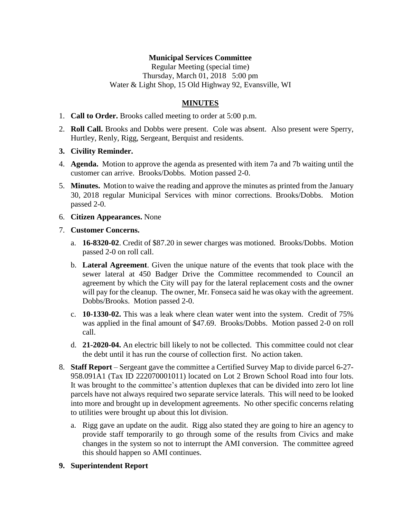## **Municipal Services Committee**

Regular Meeting (special time) Thursday, March 01, 2018 5:00 pm Water & Light Shop, 15 Old Highway 92, Evansville, WI

# **MINUTES**

- 1. **Call to Order.** Brooks called meeting to order at 5:00 p.m.
- 2. **Roll Call.** Brooks and Dobbs were present. Cole was absent. Also present were Sperry, Hurtley, Renly, Rigg, Sergeant, Berquist and residents.

#### **3. Civility Reminder.**

- 4. **Agenda.** Motion to approve the agenda as presented with item 7a and 7b waiting until the customer can arrive. Brooks/Dobbs. Motion passed 2-0.
- 5. **Minutes.** Motion to waive the reading and approve the minutes as printed from the January 30, 2018 regular Municipal Services with minor corrections. Brooks/Dobbs. Motion passed 2-0.
- 6. **Citizen Appearances.** None

#### 7. **Customer Concerns.**

- a. **16-8320-02**. Credit of \$87.20 in sewer charges was motioned. Brooks/Dobbs. Motion passed 2-0 on roll call.
- b. **Lateral Agreement**. Given the unique nature of the events that took place with the sewer lateral at 450 Badger Drive the Committee recommended to Council an agreement by which the City will pay for the lateral replacement costs and the owner will pay for the cleanup. The owner, Mr. Fonseca said he was okay with the agreement. Dobbs/Brooks. Motion passed 2-0.
- c. **10-1330-02.** This was a leak where clean water went into the system. Credit of 75% was applied in the final amount of \$47.69. Brooks/Dobbs. Motion passed 2-0 on roll call.
- d. **21-2020-04.** An electric bill likely to not be collected. This committee could not clear the debt until it has run the course of collection first. No action taken.
- 8. **Staff Report** Sergeant gave the committee a Certified Survey Map to divide parcel 6-27- 958.091A1 (Tax ID 222070001011) located on Lot 2 Brown School Road into four lots. It was brought to the committee's attention duplexes that can be divided into zero lot line parcels have not always required two separate service laterals. This will need to be looked into more and brought up in development agreements. No other specific concerns relating to utilities were brought up about this lot division.
	- a. Rigg gave an update on the audit. Rigg also stated they are going to hire an agency to provide staff temporarily to go through some of the results from Civics and make changes in the system so not to interrupt the AMI conversion. The committee agreed this should happen so AMI continues.
- **9. Superintendent Report**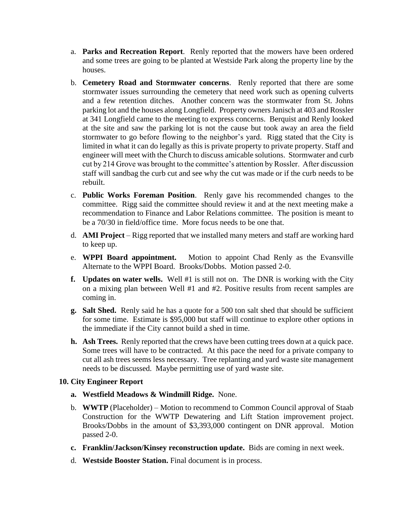- a. **Parks and Recreation Report**. Renly reported that the mowers have been ordered and some trees are going to be planted at Westside Park along the property line by the houses.
- b. **Cemetery Road and Stormwater concerns**. Renly reported that there are some stormwater issues surrounding the cemetery that need work such as opening culverts and a few retention ditches. Another concern was the stormwater from St. Johns parking lot and the houses along Longfield. Property owners Janisch at 403 and Rossler at 341 Longfield came to the meeting to express concerns. Berquist and Renly looked at the site and saw the parking lot is not the cause but took away an area the field stormwater to go before flowing to the neighbor's yard. Rigg stated that the City is limited in what it can do legally as this is private property to private property. Staff and engineer will meet with the Church to discuss amicable solutions. Stormwater and curb cut by 214 Grove was brought to the committee's attention by Rossler. After discussion staff will sandbag the curb cut and see why the cut was made or if the curb needs to be rebuilt.
- c. **Public Works Foreman Position**. Renly gave his recommended changes to the committee. Rigg said the committee should review it and at the next meeting make a recommendation to Finance and Labor Relations committee. The position is meant to be a 70/30 in field/office time. More focus needs to be one that.
- d. **AMI Project** Rigg reported that we installed many meters and staff are working hard to keep up.
- e. **WPPI Board appointment.** Motion to appoint Chad Renly as the Evansville Alternate to the WPPI Board. Brooks/Dobbs. Motion passed 2-0.
- **f. Updates on water wells.** Well #1 is still not on. The DNR is working with the City on a mixing plan between Well #1 and #2. Positive results from recent samples are coming in.
- **g. Salt Shed.** Renly said he has a quote for a 500 ton salt shed that should be sufficient for some time. Estimate is \$95,000 but staff will continue to explore other options in the immediate if the City cannot build a shed in time.
- **h. Ash Trees.** Renly reported that the crews have been cutting trees down at a quick pace. Some trees will have to be contracted. At this pace the need for a private company to cut all ash trees seems less necessary. Tree replanting and yard waste site management needs to be discussed. Maybe permitting use of yard waste site.

## **10. City Engineer Report**

- **a. Westfield Meadows & Windmill Ridge.** None.
- b. **WWTP** (Placeholder) Motion to recommend to Common Council approval of Staab Construction for the WWTP Dewatering and Lift Station improvement project. Brooks/Dobbs in the amount of \$3,393,000 contingent on DNR approval. Motion passed 2-0.
- **c. Franklin/Jackson/Kinsey reconstruction update.** Bids are coming in next week.
- d. **Westside Booster Station.** Final document is in process.